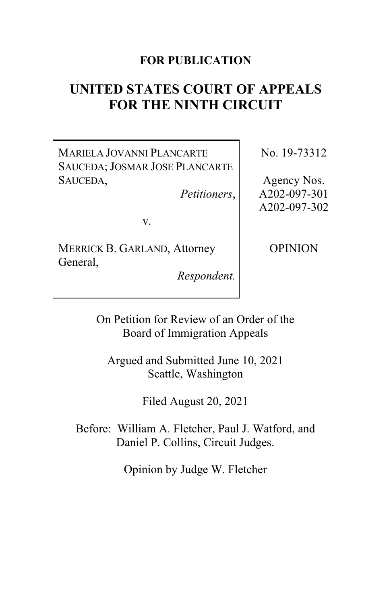# **FOR PUBLICATION**

# **UNITED STATES COURT OF APPEALS FOR THE NINTH CIRCUIT**

MARIELA JOVANNI PLANCARTE SAUCEDA; JOSMAR JOSE PLANCARTE SAUCEDA,

*Petitioners*,

No. 19-73312

Agency Nos. A202-097-301 A202-097-302

v.

MERRICK B. GARLAND, Attorney General,

*Respondent.*

OPINION

On Petition for Review of an Order of the Board of Immigration Appeals

Argued and Submitted June 10, 2021 Seattle, Washington

Filed August 20, 2021

Before: William A. Fletcher, Paul J. Watford, and Daniel P. Collins, Circuit Judges.

Opinion by Judge W. Fletcher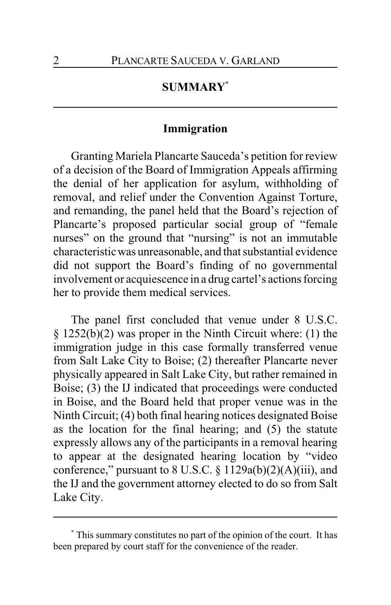# **SUMMARY\***

## **Immigration**

Granting Mariela Plancarte Sauceda's petition for review of a decision of the Board of Immigration Appeals affirming the denial of her application for asylum, withholding of removal, and relief under the Convention Against Torture, and remanding, the panel held that the Board's rejection of Plancarte's proposed particular social group of "female nurses" on the ground that "nursing" is not an immutable characteristic was unreasonable, and that substantial evidence did not support the Board's finding of no governmental involvement or acquiescence in a drug cartel's actions forcing her to provide them medical services.

The panel first concluded that venue under 8 U.S.C. § 1252(b)(2) was proper in the Ninth Circuit where: (1) the immigration judge in this case formally transferred venue from Salt Lake City to Boise; (2) thereafter Plancarte never physically appeared in Salt Lake City, but rather remained in Boise; (3) the IJ indicated that proceedings were conducted in Boise, and the Board held that proper venue was in the Ninth Circuit; (4) both final hearing notices designated Boise as the location for the final hearing; and (5) the statute expressly allows any of the participants in a removal hearing to appear at the designated hearing location by "video conference," pursuant to  $8$  U.S.C.  $\S$  1129a(b)(2)(A)(iii), and the IJ and the government attorney elected to do so from Salt Lake City.

**<sup>\*</sup>** This summary constitutes no part of the opinion of the court. It has been prepared by court staff for the convenience of the reader.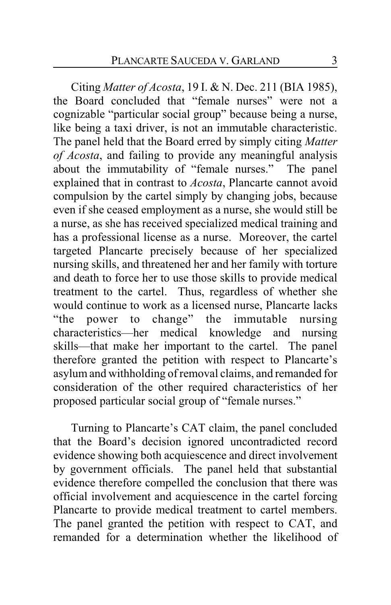Citing *Matter of Acosta*, 19 I. & N. Dec. 211 (BIA 1985), the Board concluded that "female nurses" were not a cognizable "particular social group" because being a nurse, like being a taxi driver, is not an immutable characteristic. The panel held that the Board erred by simply citing *Matter of Acosta*, and failing to provide any meaningful analysis about the immutability of "female nurses." The panel explained that in contrast to *Acosta*, Plancarte cannot avoid compulsion by the cartel simply by changing jobs, because even if she ceased employment as a nurse, she would still be a nurse, as she has received specialized medical training and has a professional license as a nurse. Moreover, the cartel targeted Plancarte precisely because of her specialized nursing skills, and threatened her and her family with torture and death to force her to use those skills to provide medical treatment to the cartel. Thus, regardless of whether she would continue to work as a licensed nurse, Plancarte lacks "the power to change" the immutable nursing characteristics—her medical knowledge and nursing skills—that make her important to the cartel. The panel therefore granted the petition with respect to Plancarte's asylum and withholding of removal claims, and remanded for consideration of the other required characteristics of her proposed particular social group of "female nurses."

Turning to Plancarte's CAT claim, the panel concluded that the Board's decision ignored uncontradicted record evidence showing both acquiescence and direct involvement by government officials. The panel held that substantial evidence therefore compelled the conclusion that there was official involvement and acquiescence in the cartel forcing Plancarte to provide medical treatment to cartel members. The panel granted the petition with respect to CAT, and remanded for a determination whether the likelihood of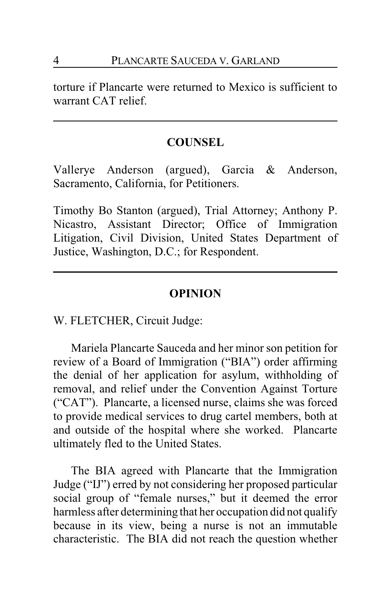torture if Plancarte were returned to Mexico is sufficient to warrant CAT relief.

#### **COUNSEL**

Vallerye Anderson (argued), Garcia & Anderson, Sacramento, California, for Petitioners.

Timothy Bo Stanton (argued), Trial Attorney; Anthony P. Nicastro, Assistant Director; Office of Immigration Litigation, Civil Division, United States Department of Justice, Washington, D.C.; for Respondent.

#### **OPINION**

W. FLETCHER, Circuit Judge:

Mariela Plancarte Sauceda and her minor son petition for review of a Board of Immigration ("BIA") order affirming the denial of her application for asylum, withholding of removal, and relief under the Convention Against Torture ("CAT"). Plancarte, a licensed nurse, claims she was forced to provide medical services to drug cartel members, both at and outside of the hospital where she worked. Plancarte ultimately fled to the United States.

The BIA agreed with Plancarte that the Immigration Judge ("IJ") erred by not considering her proposed particular social group of "female nurses," but it deemed the error harmless after determining that her occupation did not qualify because in its view, being a nurse is not an immutable characteristic. The BIA did not reach the question whether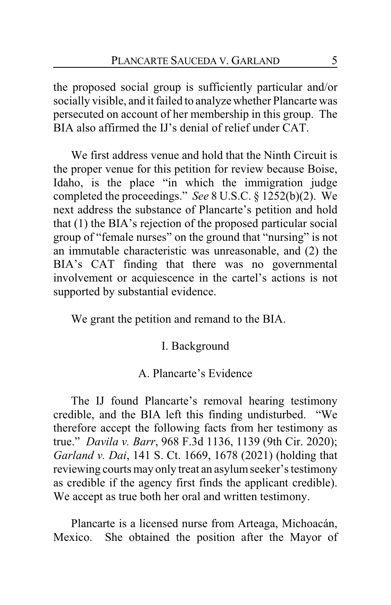the proposed social group is sufficiently particular and/or socially visible, and it failed to analyze whether Plancarte was persecuted on account of her membership in this group. The BIA also affirmed the IJ's denial of relief under CAT.

We first address venue and hold that the Ninth Circuit is the proper venue for this petition for review because Boise, Idaho, is the place "in which the immigration judge completed the proceedings." *See* 8 U.S.C. § 1252(b)(2). We next address the substance of Plancarte's petition and hold that (1) the BIA's rejection of the proposed particular social group of "female nurses" on the ground that "nursing" is not an immutable characteristic was unreasonable, and (2) the BIA's CAT finding that there was no governmental involvement or acquiescence in the cartel's actions is not supported by substantial evidence.

We grant the petition and remand to the BIA.

### I. Background

### A. Plancarte's Evidence

The IJ found Plancarte's removal hearing testimony credible, and the BIA left this finding undisturbed. "We therefore accept the following facts from her testimony as true." *Davila v. Barr*, 968 F.3d 1136, 1139 (9th Cir. 2020); *Garland v. Dai*, 141 S. Ct. 1669, 1678 (2021) (holding that reviewing courts may only treat an asylumseeker's testimony as credible if the agency first finds the applicant credible). We accept as true both her oral and written testimony.

Plancarte is a licensed nurse from Arteaga, Michoacán, Mexico. She obtained the position after the Mayor of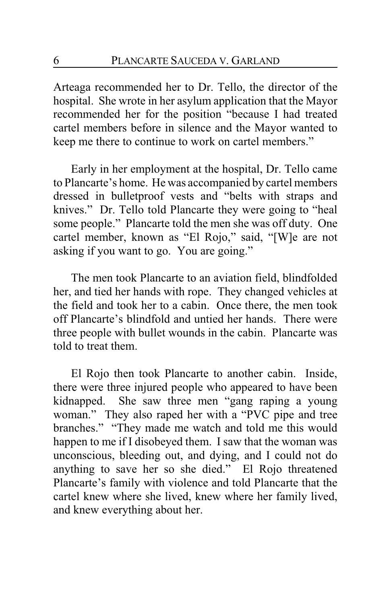Arteaga recommended her to Dr. Tello, the director of the hospital. She wrote in her asylum application that the Mayor recommended her for the position "because I had treated cartel members before in silence and the Mayor wanted to keep me there to continue to work on cartel members."

Early in her employment at the hospital, Dr. Tello came to Plancarte's home. He was accompanied by cartel members dressed in bulletproof vests and "belts with straps and knives." Dr. Tello told Plancarte they were going to "heal some people." Plancarte told the men she was off duty. One cartel member, known as "El Rojo," said, "[W]e are not asking if you want to go. You are going."

The men took Plancarte to an aviation field, blindfolded her, and tied her hands with rope. They changed vehicles at the field and took her to a cabin. Once there, the men took off Plancarte's blindfold and untied her hands. There were three people with bullet wounds in the cabin. Plancarte was told to treat them.

El Rojo then took Plancarte to another cabin. Inside, there were three injured people who appeared to have been kidnapped. She saw three men "gang raping a young woman." They also raped her with a "PVC pipe and tree branches." "They made me watch and told me this would happen to me if I disobeyed them. I saw that the woman was unconscious, bleeding out, and dying, and I could not do anything to save her so she died." El Rojo threatened Plancarte's family with violence and told Plancarte that the cartel knew where she lived, knew where her family lived, and knew everything about her.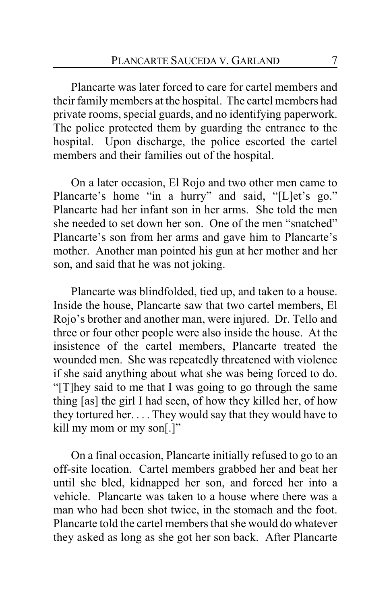Plancarte was later forced to care for cartel members and their family members at the hospital. The cartel members had private rooms, special guards, and no identifying paperwork. The police protected them by guarding the entrance to the hospital. Upon discharge, the police escorted the cartel members and their families out of the hospital.

On a later occasion, El Rojo and two other men came to Plancarte's home "in a hurry" and said, "[L]et's go." Plancarte had her infant son in her arms. She told the men she needed to set down her son. One of the men "snatched" Plancarte's son from her arms and gave him to Plancarte's mother. Another man pointed his gun at her mother and her son, and said that he was not joking.

Plancarte was blindfolded, tied up, and taken to a house. Inside the house, Plancarte saw that two cartel members, El Rojo's brother and another man, were injured. Dr. Tello and three or four other people were also inside the house. At the insistence of the cartel members, Plancarte treated the wounded men. She was repeatedly threatened with violence if she said anything about what she was being forced to do. "[T]hey said to me that I was going to go through the same thing [as] the girl I had seen, of how they killed her, of how they tortured her. . . . They would say that they would have to kill my mom or my son[.]"

On a final occasion, Plancarte initially refused to go to an off-site location. Cartel members grabbed her and beat her until she bled, kidnapped her son, and forced her into a vehicle. Plancarte was taken to a house where there was a man who had been shot twice, in the stomach and the foot. Plancarte told the cartel members that she would do whatever they asked as long as she got her son back. After Plancarte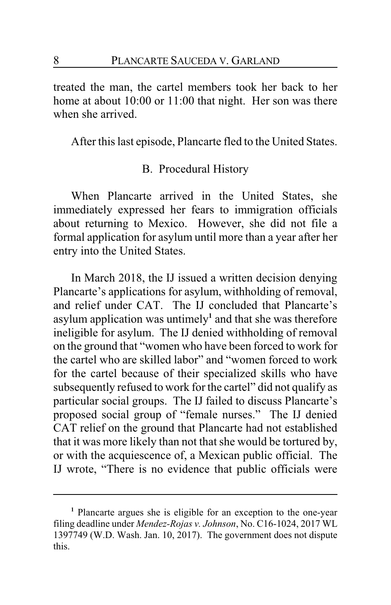treated the man, the cartel members took her back to her home at about 10:00 or 11:00 that night. Her son was there when she arrived.

After this last episode, Plancarte fled to the United States.

## B. Procedural History

When Plancarte arrived in the United States, she immediately expressed her fears to immigration officials about returning to Mexico. However, she did not file a formal application for asylum until more than a year after her entry into the United States.

In March 2018, the IJ issued a written decision denying Plancarte's applications for asylum, withholding of removal, and relief under CAT. The IJ concluded that Plancarte's asylum application was untimely**<sup>1</sup>** and that she was therefore ineligible for asylum. The IJ denied withholding of removal on the ground that "women who have been forced to work for the cartel who are skilled labor" and "women forced to work for the cartel because of their specialized skills who have subsequently refused to work for the cartel" did not qualify as particular social groups. The IJ failed to discuss Plancarte's proposed social group of "female nurses." The IJ denied CAT relief on the ground that Plancarte had not established that it was more likely than not that she would be tortured by, or with the acquiescence of, a Mexican public official. The IJ wrote, "There is no evidence that public officials were

**<sup>1</sup>** Plancarte argues she is eligible for an exception to the one-year filing deadline under *Mendez-Rojas v. Johnson*, No. C16-1024, 2017 WL 1397749 (W.D. Wash. Jan. 10, 2017). The government does not dispute this.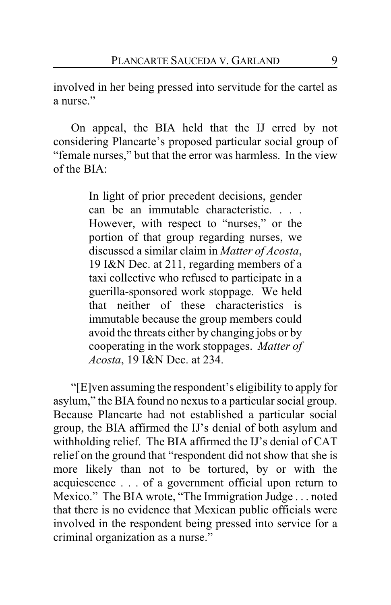involved in her being pressed into servitude for the cartel as a nurse."

On appeal, the BIA held that the IJ erred by not considering Plancarte's proposed particular social group of "female nurses," but that the error was harmless. In the view of the BIA:

> In light of prior precedent decisions, gender can be an immutable characteristic. . . . However, with respect to "nurses," or the portion of that group regarding nurses, we discussed a similar claim in *Matter of Acosta*, 19 I&N Dec. at 211, regarding members of a taxi collective who refused to participate in a guerilla-sponsored work stoppage. We held that neither of these characteristics is immutable because the group members could avoid the threats either by changing jobs or by cooperating in the work stoppages. *Matter of Acosta*, 19 I&N Dec. at 234.

"[E]ven assuming the respondent's eligibility to apply for asylum," the BIA found no nexus to a particular social group. Because Plancarte had not established a particular social group, the BIA affirmed the IJ's denial of both asylum and withholding relief. The BIA affirmed the IJ's denial of CAT relief on the ground that "respondent did not show that she is more likely than not to be tortured, by or with the acquiescence . . . of a government official upon return to Mexico." The BIA wrote, "The Immigration Judge . . . noted that there is no evidence that Mexican public officials were involved in the respondent being pressed into service for a criminal organization as a nurse."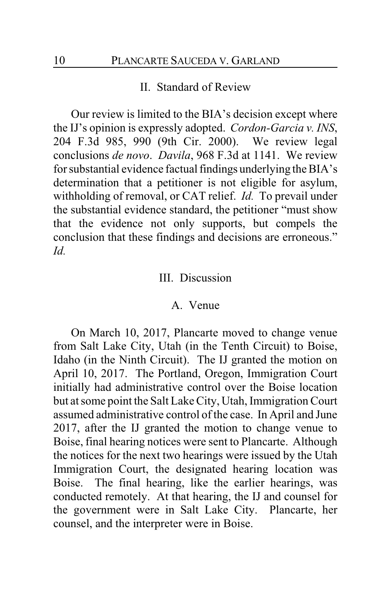### II. Standard of Review

Our review is limited to the BIA's decision except where the IJ's opinion is expressly adopted. *Cordon-Garcia v. INS*, 204 F.3d 985, 990 (9th Cir. 2000). We review legal conclusions *de novo*. *Davila*, 968 F.3d at 1141. We review for substantial evidence factual findings underlying the BIA's determination that a petitioner is not eligible for asylum, withholding of removal, or CAT relief. *Id.* To prevail under the substantial evidence standard, the petitioner "must show that the evidence not only supports, but compels the conclusion that these findings and decisions are erroneous." *Id.*

### III. Discussion

#### A. Venue

On March 10, 2017, Plancarte moved to change venue from Salt Lake City, Utah (in the Tenth Circuit) to Boise, Idaho (in the Ninth Circuit). The IJ granted the motion on April 10, 2017. The Portland, Oregon, Immigration Court initially had administrative control over the Boise location but at some point the Salt Lake City, Utah, Immigration Court assumed administrative control of the case. In April and June 2017, after the IJ granted the motion to change venue to Boise, final hearing notices were sent to Plancarte. Although the notices for the next two hearings were issued by the Utah Immigration Court, the designated hearing location was Boise. The final hearing, like the earlier hearings, was conducted remotely. At that hearing, the IJ and counsel for the government were in Salt Lake City. Plancarte, her counsel, and the interpreter were in Boise.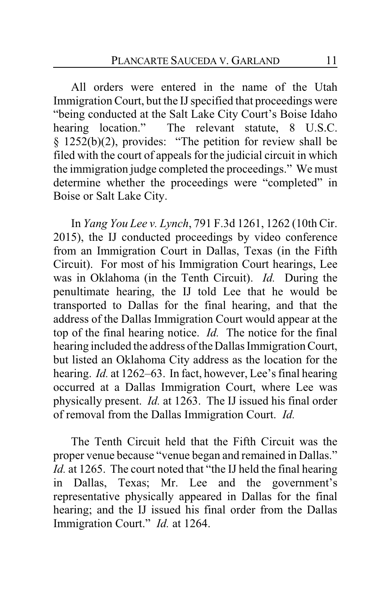All orders were entered in the name of the Utah Immigration Court, but the IJ specified that proceedings were "being conducted at the Salt Lake City Court's Boise Idaho hearing location." The relevant statute, 8 U.S.C. § 1252(b)(2), provides: "The petition for review shall be filed with the court of appeals for the judicial circuit in which the immigration judge completed the proceedings." We must determine whether the proceedings were "completed" in Boise or Salt Lake City.

In *Yang You Lee v. Lynch*, 791 F.3d 1261, 1262 (10th Cir. 2015), the IJ conducted proceedings by video conference from an Immigration Court in Dallas, Texas (in the Fifth Circuit). For most of his Immigration Court hearings, Lee was in Oklahoma (in the Tenth Circuit). *Id.* During the penultimate hearing, the IJ told Lee that he would be transported to Dallas for the final hearing, and that the address of the Dallas Immigration Court would appear at the top of the final hearing notice. *Id.* The notice for the final hearing included the address of the Dallas Immigration Court, but listed an Oklahoma City address as the location for the hearing. *Id.* at 1262–63. In fact, however, Lee's final hearing occurred at a Dallas Immigration Court, where Lee was physically present. *Id.* at 1263. The IJ issued his final order of removal from the Dallas Immigration Court. *Id.*

The Tenth Circuit held that the Fifth Circuit was the proper venue because "venue began and remained in Dallas." *Id.* at 1265. The court noted that "the IJ held the final hearing in Dallas, Texas; Mr. Lee and the government's representative physically appeared in Dallas for the final hearing; and the IJ issued his final order from the Dallas Immigration Court." *Id.* at 1264.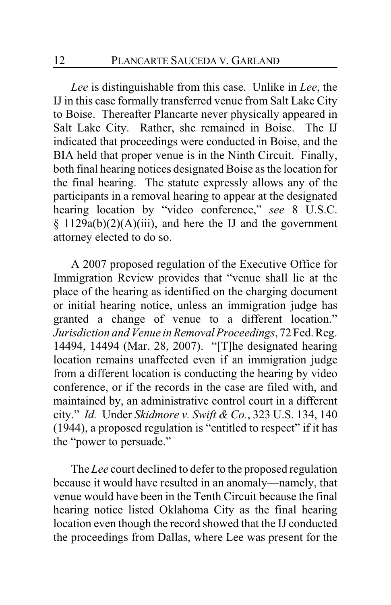*Lee* is distinguishable from this case. Unlike in *Lee*, the IJ in this case formally transferred venue from Salt Lake City to Boise. Thereafter Plancarte never physically appeared in Salt Lake City. Rather, she remained in Boise. The IJ indicated that proceedings were conducted in Boise, and the BIA held that proper venue is in the Ninth Circuit. Finally, both final hearing notices designated Boise as the location for the final hearing. The statute expressly allows any of the participants in a removal hearing to appear at the designated hearing location by "video conference," *see* 8 U.S.C.  $§$  1129a(b)(2)(A)(iii), and here the IJ and the government attorney elected to do so.

A 2007 proposed regulation of the Executive Office for Immigration Review provides that "venue shall lie at the place of the hearing as identified on the charging document or initial hearing notice, unless an immigration judge has granted a change of venue to a different location." *Jurisdiction and Venue inRemoval Proceedings*, 72 Fed.Reg. 14494, 14494 (Mar. 28, 2007). "[T]he designated hearing location remains unaffected even if an immigration judge from a different location is conducting the hearing by video conference, or if the records in the case are filed with, and maintained by, an administrative control court in a different city." *Id.* Under *Skidmore v. Swift & Co.*, 323 U.S. 134, 140 (1944), a proposed regulation is "entitled to respect" if it has the "power to persuade."

The *Lee* court declined to defer to the proposed regulation because it would have resulted in an anomaly—namely, that venue would have been in the Tenth Circuit because the final hearing notice listed Oklahoma City as the final hearing location even though the record showed that the IJ conducted the proceedings from Dallas, where Lee was present for the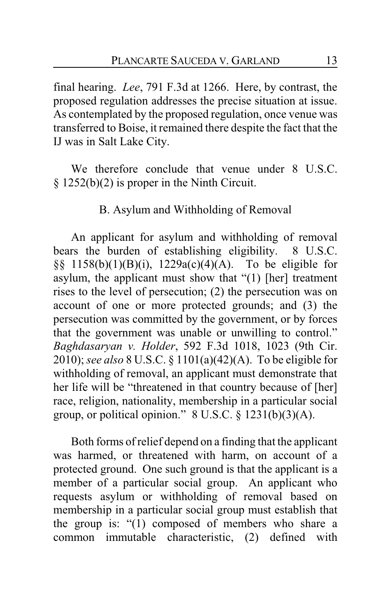final hearing. *Lee*, 791 F.3d at 1266. Here, by contrast, the proposed regulation addresses the precise situation at issue. As contemplated by the proposed regulation, once venue was transferred to Boise, it remained there despite the fact that the IJ was in Salt Lake City.

We therefore conclude that venue under 8 U.S.C. § 1252(b)(2) is proper in the Ninth Circuit.

## B. Asylum and Withholding of Removal

An applicant for asylum and withholding of removal bears the burden of establishing eligibility. 8 U.S.C. §§ 1158(b)(1)(B)(i), 1229a(c)(4)(A). To be eligible for asylum, the applicant must show that "(1) [her] treatment rises to the level of persecution; (2) the persecution was on account of one or more protected grounds; and (3) the persecution was committed by the government, or by forces that the government was unable or unwilling to control." *Baghdasaryan v. Holder*, 592 F.3d 1018, 1023 (9th Cir. 2010); *see also* 8 U.S.C. § 1101(a)(42)(A). To be eligible for withholding of removal, an applicant must demonstrate that her life will be "threatened in that country because of [her] race, religion, nationality, membership in a particular social group, or political opinion."  $8$  U.S.C.  $\S$  1231(b)(3)(A).

Both forms of relief depend on a finding that the applicant was harmed, or threatened with harm, on account of a protected ground. One such ground is that the applicant is a member of a particular social group. An applicant who requests asylum or withholding of removal based on membership in a particular social group must establish that the group is: "(1) composed of members who share a common immutable characteristic, (2) defined with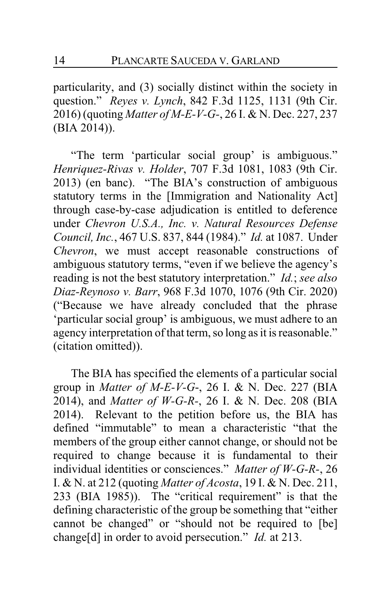particularity, and (3) socially distinct within the society in question." *Reyes v. Lynch*, 842 F.3d 1125, 1131 (9th Cir. 2016) (quoting *Matter of M-E-V-G-*, 26 I. & N. Dec. 227, 237 (BIA 2014)).

"The term 'particular social group' is ambiguous." *Henriquez-Rivas v. Holder*, 707 F.3d 1081, 1083 (9th Cir. 2013) (en banc). "The BIA's construction of ambiguous statutory terms in the [Immigration and Nationality Act] through case-by-case adjudication is entitled to deference under *Chevron U.S.A., Inc. v. Natural Resources Defense Council, Inc.*, 467 U.S. 837, 844 (1984)." *Id.* at 1087. Under *Chevron*, we must accept reasonable constructions of ambiguous statutory terms, "even if we believe the agency's reading is not the best statutory interpretation." *Id.*; *see also Diaz-Reynoso v. Barr*, 968 F.3d 1070, 1076 (9th Cir. 2020) ("Because we have already concluded that the phrase 'particular social group' is ambiguous, we must adhere to an agency interpretation of that term, so long as it is reasonable." (citation omitted)).

The BIA has specified the elements of a particular social group in *Matter of M-E-V-G*-, 26 I. & N. Dec. 227 (BIA 2014), and *Matter of W-G-R-*, 26 I. & N. Dec. 208 (BIA 2014). Relevant to the petition before us, the BIA has defined "immutable" to mean a characteristic "that the members of the group either cannot change, or should not be required to change because it is fundamental to their individual identities or consciences." *Matter of W-G-R-*, 26 I. & N. at 212 (quoting *Matter of Acosta*, 19 I. & N. Dec. 211, 233 (BIA 1985)). The "critical requirement" is that the defining characteristic of the group be something that "either cannot be changed" or "should not be required to [be] change[d] in order to avoid persecution." *Id.* at 213.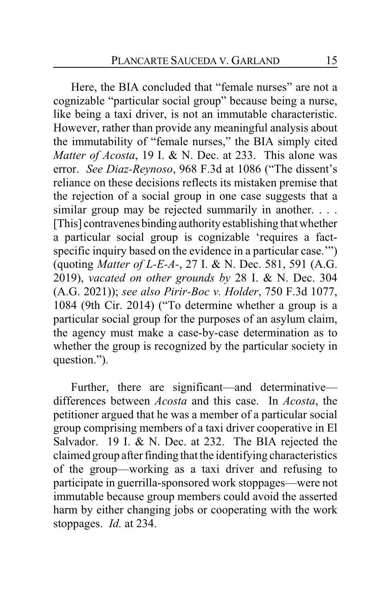Here, the BIA concluded that "female nurses" are not a cognizable "particular social group" because being a nurse, like being a taxi driver, is not an immutable characteristic. However, rather than provide any meaningful analysis about the immutability of "female nurses," the BIA simply cited *Matter of Acosta*, 19 I. & N. Dec. at 233. This alone was error. *See Diaz-Reynoso*, 968 F.3d at 1086 ("The dissent's reliance on these decisions reflects its mistaken premise that the rejection of a social group in one case suggests that a similar group may be rejected summarily in another. . . . [This] contravenes binding authority establishing that whether a particular social group is cognizable 'requires a factspecific inquiry based on the evidence in a particular case.'") (quoting *Matter of L-E-A-*, 27 I. & N. Dec. 581, 591 (A.G. 2019), *vacated on other grounds by* 28 I. & N. Dec. 304 (A.G. 2021)); *see also Pirir-Boc v. Holder*, 750 F.3d 1077, 1084 (9th Cir. 2014) ("To determine whether a group is a particular social group for the purposes of an asylum claim, the agency must make a case-by-case determination as to whether the group is recognized by the particular society in question.").

Further, there are significant—and determinative differences between *Acosta* and this case. In *Acosta*, the petitioner argued that he was a member of a particular social group comprising members of a taxi driver cooperative in El Salvador. 19 I. & N. Dec. at 232. The BIA rejected the claimed group after finding that the identifying characteristics of the group—working as a taxi driver and refusing to participate in guerrilla-sponsored work stoppages—were not immutable because group members could avoid the asserted harm by either changing jobs or cooperating with the work stoppages. *Id.* at 234.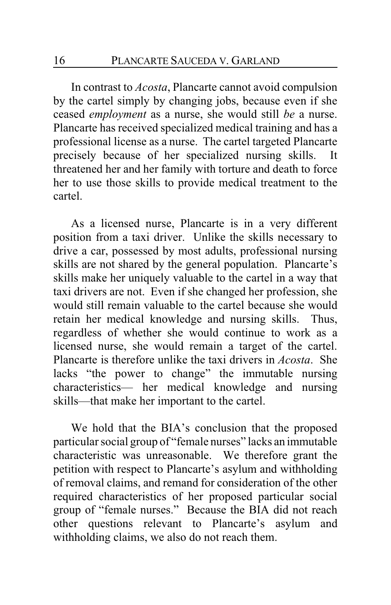In contrast to *Acosta*, Plancarte cannot avoid compulsion by the cartel simply by changing jobs, because even if she ceased *employment* as a nurse, she would still *be* a nurse. Plancarte has received specialized medical training and has a professional license as a nurse. The cartel targeted Plancarte precisely because of her specialized nursing skills. It threatened her and her family with torture and death to force her to use those skills to provide medical treatment to the cartel.

As a licensed nurse, Plancarte is in a very different position from a taxi driver. Unlike the skills necessary to drive a car, possessed by most adults, professional nursing skills are not shared by the general population. Plancarte's skills make her uniquely valuable to the cartel in a way that taxi drivers are not. Even if she changed her profession, she would still remain valuable to the cartel because she would retain her medical knowledge and nursing skills. Thus, regardless of whether she would continue to work as a licensed nurse, she would remain a target of the cartel. Plancarte is therefore unlike the taxi drivers in *Acosta*. She lacks "the power to change" the immutable nursing characteristics— her medical knowledge and nursing skills—that make her important to the cartel.

We hold that the BIA's conclusion that the proposed particular social group of "female nurses" lacks an immutable characteristic was unreasonable. We therefore grant the petition with respect to Plancarte's asylum and withholding of removal claims, and remand for consideration of the other required characteristics of her proposed particular social group of "female nurses." Because the BIA did not reach other questions relevant to Plancarte's asylum and withholding claims, we also do not reach them.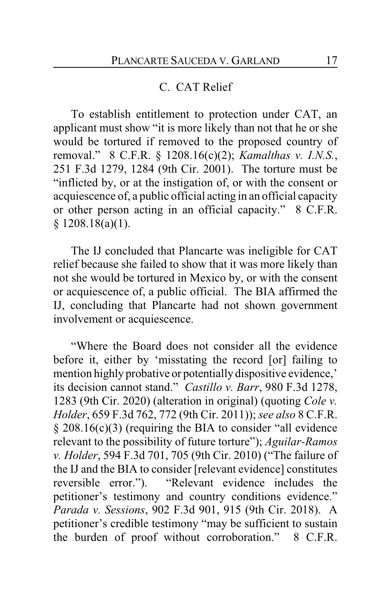### C. CAT Relief

To establish entitlement to protection under CAT, an applicant must show "it is more likely than not that he or she would be tortured if removed to the proposed country of removal." 8 C.F.R. § 1208.16(c)(2); *Kamalthas v. I.N.S.*, 251 F.3d 1279, 1284 (9th Cir. 2001). The torture must be "inflicted by, or at the instigation of, or with the consent or acquiescence of, a public official acting in an official capacity or other person acting in an official capacity." 8 C.F.R.  $§ 1208.18(a)(1).$ 

The IJ concluded that Plancarte was ineligible for CAT relief because she failed to show that it was more likely than not she would be tortured in Mexico by, or with the consent or acquiescence of, a public official. The BIA affirmed the IJ, concluding that Plancarte had not shown government involvement or acquiescence.

"Where the Board does not consider all the evidence before it, either by 'misstating the record [or] failing to mention highly probative or potentially dispositive evidence,' its decision cannot stand." *Castillo v. Barr*, 980 F.3d 1278, 1283 (9th Cir. 2020) (alteration in original) (quoting *Cole v. Holder*, 659 F.3d 762, 772 (9th Cir. 2011)); *see also* 8 C.F.R. § 208.16(c)(3) (requiring the BIA to consider "all evidence relevant to the possibility of future torture"); *Aguilar-Ramos v. Holder*, 594 F.3d 701, 705 (9th Cir. 2010) ("The failure of the IJ and the BIA to consider [relevant evidence] constitutes reversible error."). "Relevant evidence includes the petitioner's testimony and country conditions evidence." *Parada v. Sessions*, 902 F.3d 901, 915 (9th Cir. 2018). A petitioner's credible testimony "may be sufficient to sustain the burden of proof without corroboration." 8 C.F.R.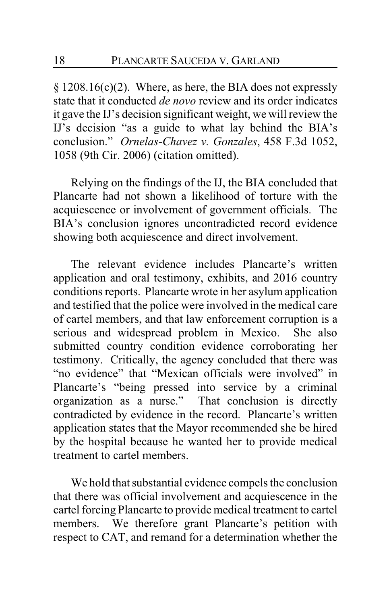§ 1208.16(c)(2). Where, as here, the BIA does not expressly state that it conducted *de novo* review and its order indicates it gave the IJ's decision significant weight, we will review the IJ's decision "as a guide to what lay behind the BIA's conclusion." *Ornelas-Chavez v. Gonzales*, 458 F.3d 1052, 1058 (9th Cir. 2006) (citation omitted).

Relying on the findings of the IJ, the BIA concluded that Plancarte had not shown a likelihood of torture with the acquiescence or involvement of government officials. The BIA's conclusion ignores uncontradicted record evidence showing both acquiescence and direct involvement.

The relevant evidence includes Plancarte's written application and oral testimony, exhibits, and 2016 country conditions reports. Plancarte wrote in her asylum application and testified that the police were involved in the medical care of cartel members, and that law enforcement corruption is a serious and widespread problem in Mexico. She also submitted country condition evidence corroborating her testimony. Critically, the agency concluded that there was "no evidence" that "Mexican officials were involved" in Plancarte's "being pressed into service by a criminal organization as a nurse." That conclusion is directly contradicted by evidence in the record. Plancarte's written application states that the Mayor recommended she be hired by the hospital because he wanted her to provide medical treatment to cartel members.

We hold that substantial evidence compels the conclusion that there was official involvement and acquiescence in the cartel forcing Plancarte to provide medical treatment to cartel members. We therefore grant Plancarte's petition with respect to CAT, and remand for a determination whether the